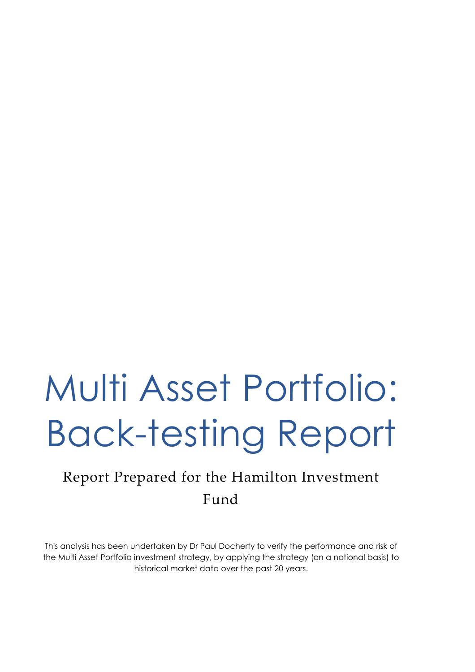# Multi Asset Portfolio: Back-testing Report

# Report Prepared for the Hamilton Investment Fund

This analysis has been undertaken by Dr Paul Docherty to verify the performance and risk of the Multi Asset Portfolio investment strategy, by applying the strategy (on a notional basis) to historical market data over the past 20 years.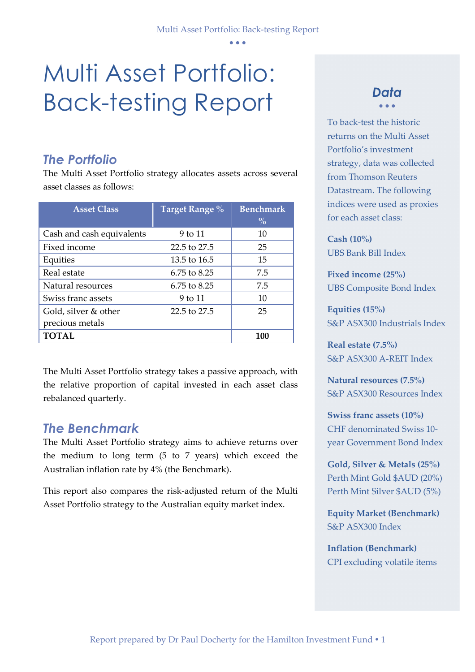# Multi Asset Portfolio: Back-testing Report

#### *The Portfolio*

The Multi Asset Portfolio strategy allocates assets across several asset classes as follows:

| <b>Asset Class</b>        | Target Range % | <b>Benchmark</b><br>$\frac{0}{0}$ |
|---------------------------|----------------|-----------------------------------|
|                           |                |                                   |
| Cash and cash equivalents | 9 to 11        | 10                                |
| Fixed income              | 22.5 to 27.5   | 25                                |
| Equities                  | 13.5 to 16.5   | 15                                |
| Real estate               | 6.75 to 8.25   | 7.5                               |
| Natural resources         | 6.75 to 8.25   | 7.5                               |
| Swiss franc assets        | 9 to 11        | 10                                |
| Gold, silver & other      | 22.5 to 27.5   | 25                                |
| precious metals           |                |                                   |
| <b>TOTAL</b>              |                | 100                               |

The Multi Asset Portfolio strategy takes a passive approach, with the relative proportion of capital invested in each asset class rebalanced quarterly.

#### *The Benchmark*

The Multi Asset Portfolio strategy aims to achieve returns over the medium to long term (5 to 7 years) which exceed the Australian inflation rate by 4% (the Benchmark).

This report also compares the risk-adjusted return of the Multi Asset Portfolio strategy to the Australian equity market index.

#### *Data*  • • •

To back-test the historic returns on the Multi Asset Portfolio's investment strategy, data was collected from Thomson Reuters Datastream. The following indices were used as proxies for each asset class:

**Cash (10%)** UBS Bank Bill Index

**Fixed income (25%)** UBS Composite Bond Index

**Equities (15%)** S&P ASX300 Industrials Index

**Real estate (7.5%)** S&P ASX300 A-REIT Index

**Natural resources (7.5%)** S&P ASX300 Resources Index

**Swiss franc assets (10%)** CHF denominated Swiss 10 year Government Bond Index

**Gold, Silver & Metals (25%)** Perth Mint Gold \$AUD (20%) Perth Mint Silver \$AUD (5%)

**Equity Market (Benchmark)** S&P ASX300 Index

**Inflation (Benchmark)** CPI excluding volatile items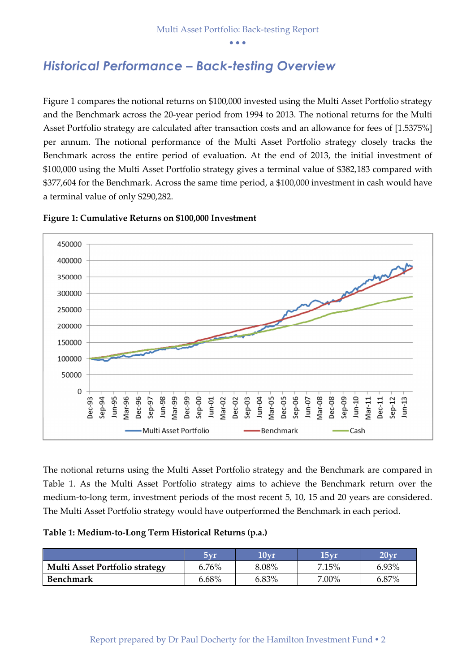#### *Historical Performance – Back-testing Overview*

Figure 1 compares the notional returns on \$100,000 invested using the Multi Asset Portfolio strategy and the Benchmark across the 20-year period from 1994 to 2013. The notional returns for the Multi Asset Portfolio strategy are calculated after transaction costs and an allowance for fees of [1.5375%] per annum. The notional performance of the Multi Asset Portfolio strategy closely tracks the Benchmark across the entire period of evaluation. At the end of 2013, the initial investment of \$100,000 using the Multi Asset Portfolio strategy gives a terminal value of \$382,183 compared with \$377,604 for the Benchmark. Across the same time period, a \$100,000 investment in cash would have a terminal value of only \$290,282.



**Figure 1: Cumulative Returns on \$100,000 Investment**

The notional returns using the Multi Asset Portfolio strategy and the Benchmark are compared in Table 1. As the Multi Asset Portfolio strategy aims to achieve the Benchmark return over the medium-to-long term, investment periods of the most recent 5, 10, 15 and 20 years are considered. The Multi Asset Portfolio strategy would have outperformed the Benchmark in each period.

#### **Table 1: Medium-to-Long Term Historical Returns (p.a.)**

|                                       | $5\rm{vr}$ | $10\rm{vr}$ | 15 <sub>vr</sub> | $20\rm{vr}$ |
|---------------------------------------|------------|-------------|------------------|-------------|
| <b>Multi Asset Portfolio strategy</b> | 6.76%      | 8.08%       | 7.15%            | 6.93%       |
| Benchmark                             | 6.68%      | 6.83%       | 7.00%            | 6.87%       |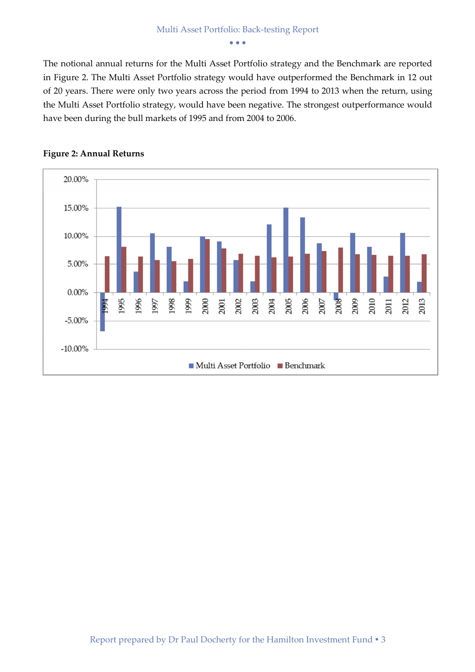The notional annual returns for the Multi Asset Portfolio strategy and the Benchmark are reported in Figure 2. The Multi Asset Portfolio strategy would have outperformed the Benchmark in 12 out of 20 years. There were only two years across the period from 1994 to 2013 when the return, using the Multi Asset Portfolio strategy, would have been negative. The strongest outperformance would have been during the bull markets of 1995 and from 2004 to 2006.



#### **Figure 2: Annual Returns**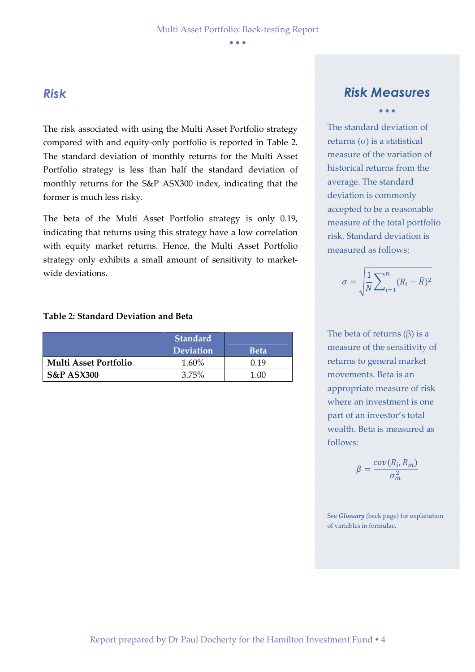#### *Risk*

The risk associated with using the Multi Asset Portfolio strategy compared with and equity-only portfolio is reported in Table 2. The standard deviation of monthly returns for the Multi Asset Portfolio strategy is less than half the standard deviation of monthly returns for the S&P ASX300 index, indicating that the former is much less risky.

The beta of the Multi Asset Portfolio strategy is only 0.19, indicating that returns using this strategy have a low correlation with equity market returns. Hence, the Multi Asset Portfolio strategy only exhibits a small amount of sensitivity to marketwide deviations.

#### **Table 2: Standard Deviation and Beta**

|                              | <b>Standard</b><br><b>Deviation</b> | <b>Beta</b> |
|------------------------------|-------------------------------------|-------------|
| <b>Multi Asset Portfolio</b> | 1.60%                               | በ 19        |
| <b>S&amp;P ASX300</b>        | $3.75\%$                            |             |

#### *Risk Measures*  • • •

The standard deviation of returns (σ) is a statistical measure of the variation of historical returns from the average. The standard deviation is commonly accepted to be a reasonable measure of the total portfolio risk. Standard deviation is measured as follows:

$$
\sigma = \sqrt{\frac{1}{N} \sum_{i=1}^{n} (R_i - \bar{R})^2}
$$

The beta of returns  $(\beta)$  is a measure of the sensitivity of returns to general market movements. Beta is an appropriate measure of risk where an investment is one part of an investor's total wealth. Beta is measured as follows:

$$
\beta = \frac{cov(R_i, R_m)}{\sigma_m^2}
$$

See *Glossary* (back page) for explanation of variables in formulae.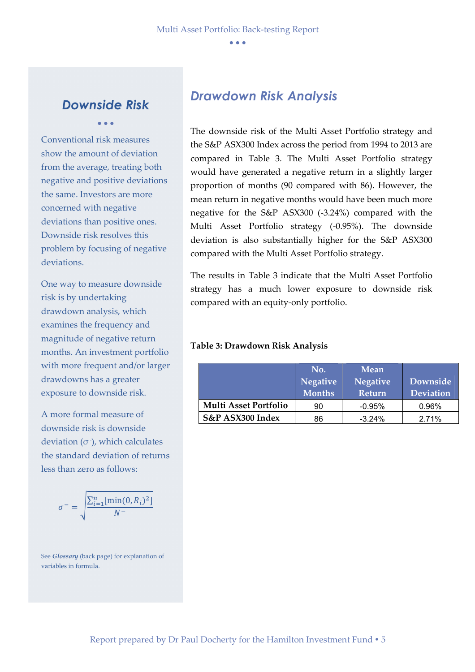#### *Downside Risk*  • • •

Conventional risk measures show the amount of deviation from the average, treating both negative and positive deviations the same. Investors are more concerned with negative deviations than positive ones. Downside risk resolves this problem by focusing of negative deviations.

One way to measure downside risk is by undertaking drawdown analysis, which examines the frequency and magnitude of negative return months. An investment portfolio with more frequent and/or larger drawdowns has a greater exposure to downside risk.

A more formal measure of downside risk is downside deviation (σ -), which calculates the standard deviation of returns less than zero as follows:

$$
\sigma^{-} = \sqrt{\frac{\sum_{i=1}^{n} [\min(0, R_i)^2]}{N}}
$$

See *Glossary* (back page) for explanation of variables in formula.

#### *Drawdown Risk Analysis*

The downside risk of the Multi Asset Portfolio strategy and the S&P ASX300 Index across the period from 1994 to 2013 are compared in Table 3. The Multi Asset Portfolio strategy would have generated a negative return in a slightly larger proportion of months (90 compared with 86). However, the mean return in negative months would have been much more negative for the S&P ASX300 (-3.24%) compared with the Multi Asset Portfolio strategy (-0.95%). The downside deviation is also substantially higher for the S&P ASX300 compared with the Multi Asset Portfolio strategy.

The results in Table 3 indicate that the Multi Asset Portfolio strategy has a much lower exposure to downside risk compared with an equity-only portfolio.

#### **Table 3: Drawdown Risk Analysis**

|                              | No.           | <b>Mean</b>     |                  |
|------------------------------|---------------|-----------------|------------------|
|                              | Negative      | <b>Negative</b> | Downside         |
|                              | <b>Months</b> | <b>Return</b>   | <b>Deviation</b> |
| <b>Multi Asset Portfolio</b> | 90            | $-0.95%$        | 0.96%            |
| S&P ASX300 Index             | 86            | $-3.24%$        | 2.71%            |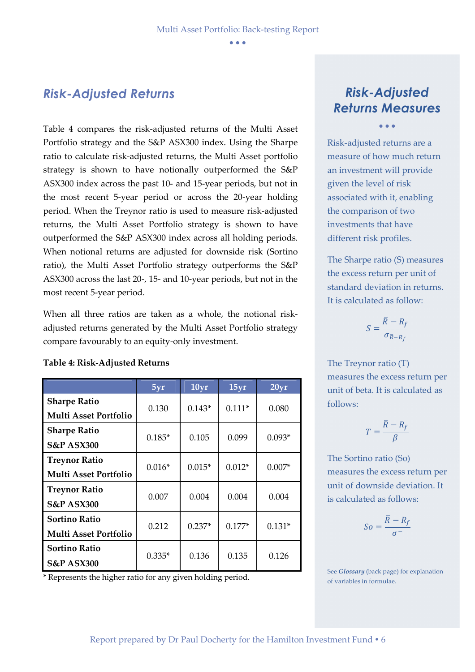#### *Risk-Adjusted Returns*

Table 4 compares the risk-adjusted returns of the Multi Asset Portfolio strategy and the S&P ASX300 index. Using the Sharpe ratio to calculate risk-adjusted returns, the Multi Asset portfolio strategy is shown to have notionally outperformed the S&P ASX300 index across the past 10- and 15-year periods, but not in the most recent 5-year period or across the 20-year holding period. When the Treynor ratio is used to measure risk-adjusted returns, the Multi Asset Portfolio strategy is shown to have outperformed the S&P ASX300 index across all holding periods. When notional returns are adjusted for downside risk (Sortino ratio), the Multi Asset Portfolio strategy outperforms the S&P ASX300 across the last 20-, 15- and 10-year periods, but not in the most recent 5-year period.

When all three ratios are taken as a whole, the notional riskadjusted returns generated by the Multi Asset Portfolio strategy compare favourably to an equity-only investment.

#### **Table 4: Risk-Adjusted Returns**

|                                                      | 5yr      | 10yr     | 15yr     | 20yr     |
|------------------------------------------------------|----------|----------|----------|----------|
| <b>Sharpe Ratio</b><br><b>Multi Asset Portfolio</b>  | 0.130    | $0.143*$ | $0.111*$ | 0.080    |
| <b>Sharpe Ratio</b>                                  | $0.185*$ | 0.105    | 0.099    | $0.093*$ |
| <b>S&amp;P ASX300</b><br><b>Treynor Ratio</b>        | $0.016*$ | $0.015*$ | $0.012*$ | $0.007*$ |
| <b>Multi Asset Portfolio</b><br><b>Treynor Ratio</b> |          |          |          |          |
| <b>S&amp;P ASX300</b>                                | 0.007    | 0.004    | 0.004    | 0.004    |
| <b>Sortino Ratio</b><br><b>Multi Asset Portfolio</b> | 0.212    | $0.237*$ | $0.177*$ | $0.131*$ |
| Sortino Ratio<br><b>S&amp;P ASX300</b>               | $0.335*$ | 0.136    | 0.135    | 0.126    |

\* Represents the higher ratio for any given holding period.

# *Risk-Adjusted Returns Measures*

• • •

Risk-adjusted returns are a measure of how much return an investment will provide given the level of risk associated with it, enabling the comparison of two investments that have different risk profiles.

The Sharpe ratio (S) measures the excess return per unit of standard deviation in returns. It is calculated as follow:

$$
S = \frac{\overline{R} - R_f}{\sigma_{\overline{R} - R_f}}
$$

The Treynor ratio (T) measures the excess return per unit of beta. It is calculated as follows:

$$
T=\frac{\bar{R}-R_f}{\beta}
$$

The Sortino ratio (So) measures the excess return per unit of downside deviation. It is calculated as follows:

$$
So = \frac{\overline{R} - R_f}{\sigma^{-}}
$$

See *Glossary* (back page) for explanation of variables in formulae.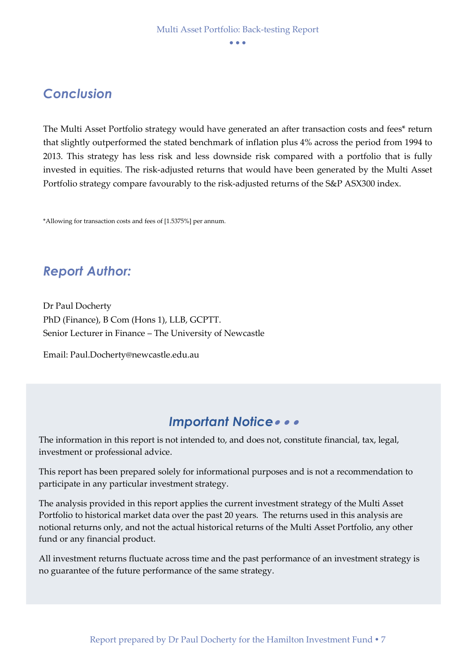### *Conclusion*

The Multi Asset Portfolio strategy would have generated an after transaction costs and fees\* return that slightly outperformed the stated benchmark of inflation plus 4% across the period from 1994 to 2013. This strategy has less risk and less downside risk compared with a portfolio that is fully invested in equities. The risk-adjusted returns that would have been generated by the Multi Asset Portfolio strategy compare favourably to the risk-adjusted returns of the S&P ASX300 index.

\*Allowing for transaction costs and fees of [1.5375%] per annum.

# *Report Author:*

Dr Paul Docherty PhD (Finance), B Com (Hons 1), LLB, GCPTT. Senior Lecturer in Finance – The University of Newcastle

Email: Paul.Docherty@newcastle.edu.au

#### *Important Notice*• • •

The information in this report is not intended to, and does not, constitute financial, tax, legal, investment or professional advice.

This report has been prepared solely for informational purposes and is not a recommendation to participate in any particular investment strategy.

The analysis provided in this report applies the current investment strategy of the Multi Asset Portfolio to historical market data over the past 20 years. The returns used in this analysis are notional returns only, and not the actual historical returns of the Multi Asset Portfolio, any other fund or any financial product.

All investment returns fluctuate across time and the past performance of an investment strategy is no guarantee of the future performance of the same strategy.